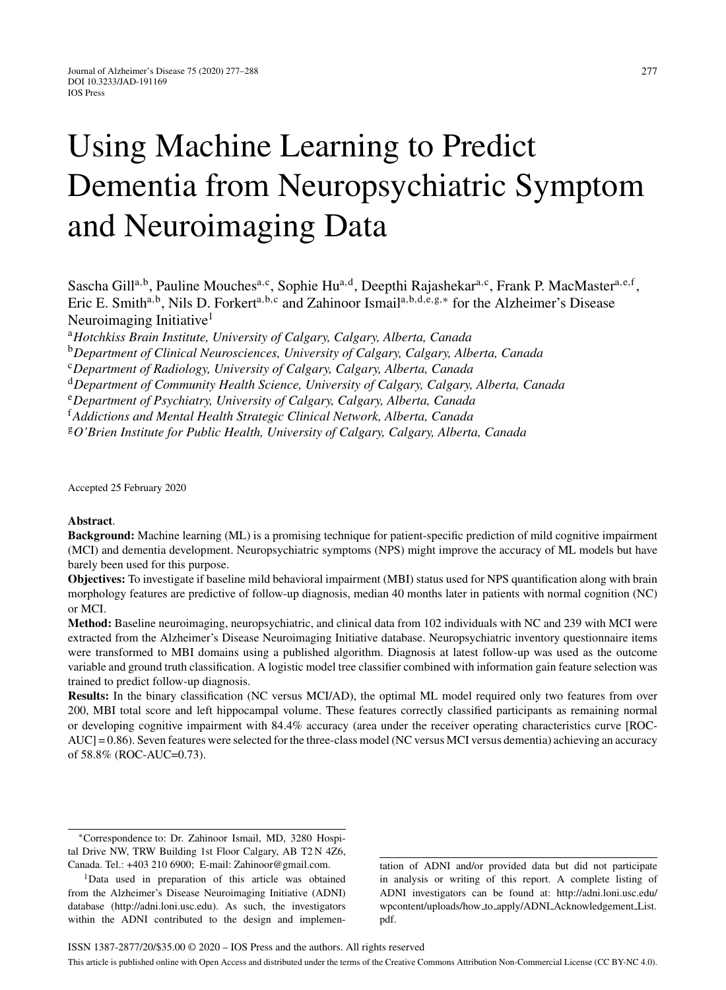# Using Machine Learning to Predict Dementia from Neuropsychiatric Symptom and Neuroimaging Data

Sascha Gill<sup>a,b</sup>, Pauline Mouches<sup>a,c</sup>, Sophie Hu<sup>a,d</sup>, Deepthi Rajashekar<sup>a,c</sup>, Frank P. MacMaster<sup>a,e,f</sup>, Eric E. Smitha,b, Nils D. Forkerta,b,<sup>c</sup> and Zahinoor Ismaila,b,d,e,g,<sup>∗</sup> for the Alzheimer's Disease Neuroimaging Initiative<sup>1</sup>

<sup>a</sup>*Hotchkiss Brain Institute, University of Calgary, Calgary, Alberta, Canada*

<sup>b</sup>*Department of Clinical Neurosciences, University of Calgary, Calgary, Alberta, Canada*

<sup>c</sup>*Department of Radiology, University of Calgary, Calgary, Alberta, Canada*

<sup>d</sup>*Department of Community Health Science, University of Calgary, Calgary, Alberta, Canada*

<sup>e</sup>*Department of Psychiatry, University of Calgary, Calgary, Alberta, Canada*

<sup>f</sup>*Addictions and Mental Health Strategic Clinical Network, Alberta, Canada*

<sup>g</sup>*O'Brien Institute for Public Health, University of Calgary, Calgary, Alberta, Canada*

Accepted 25 February 2020

#### **Abstract**.

**Background:** Machine learning (ML) is a promising technique for patient-specific prediction of mild cognitive impairment (MCI) and dementia development. Neuropsychiatric symptoms (NPS) might improve the accuracy of ML models but have barely been used for this purpose.

**Objectives:** To investigate if baseline mild behavioral impairment (MBI) status used for NPS quantification along with brain morphology features are predictive of follow-up diagnosis, median 40 months later in patients with normal cognition (NC) or MCI.

**Method:** Baseline neuroimaging, neuropsychiatric, and clinical data from 102 individuals with NC and 239 with MCI were extracted from the Alzheimer's Disease Neuroimaging Initiative database. Neuropsychiatric inventory questionnaire items were transformed to MBI domains using a published algorithm. Diagnosis at latest follow-up was used as the outcome variable and ground truth classification. A logistic model tree classifier combined with information gain feature selection was trained to predict follow-up diagnosis.

**Results:** In the binary classification (NC versus MCI/AD), the optimal ML model required only two features from over 200, MBI total score and left hippocampal volume. These features correctly classified participants as remaining normal or developing cognitive impairment with 84.4% accuracy (area under the receiver operating characteristics curve [ROC-AUC] = 0.86). Seven features were selected for the three-class model (NC versus MCI versus dementia) achieving an accuracy of 58.8% (ROC-AUC=0.73).

tation of ADNI and/or provided data but did not participate in analysis or writing of this report. A complete listing of ADNI investigators can be found at: [http://adni.loni.usc.edu/](http://adni.loni.usc.edu/wpcontent/uploads/how_to_apply/ADNI_Acknowledgement_List.pdf) [wpcontent/uploads/how](http://adni.loni.usc.edu/wpcontent/uploads/how_to_apply/ADNI_Acknowledgement_List.pdf) to apply/ADNI Acknowledgement List. [pdf](http://adni.loni.usc.edu/wpcontent/uploads/how_to_apply/ADNI_Acknowledgement_List.pdf).

<sup>∗</sup>Correspondence to: Dr. Zahinoor Ismail, MD, 3280 Hospital Drive NW, TRW Building 1st Floor Calgary, AB T2 N 4Z6, Canada. Tel.: +403 210 6900; E-mail: [Zahinoor@gmail.com.](mailto:Zahinoor@gmail.com)

<sup>&</sup>lt;sup>1</sup>Data used in preparation of this article was obtained from the Alzheimer's Disease Neuroimaging Initiative (ADNI) database [\(http://adni.loni.usc.edu](http://adni.loni.usc.edu)). As such, the investigators within the ADNI contributed to the design and implemen-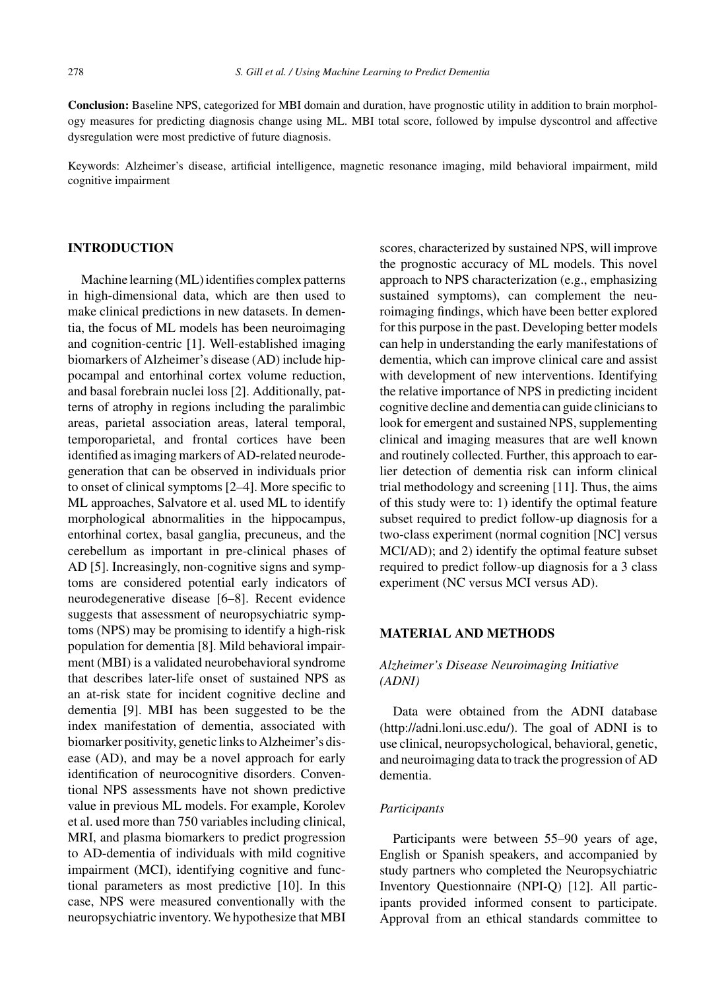**Conclusion:** Baseline NPS, categorized for MBI domain and duration, have prognostic utility in addition to brain morphology measures for predicting diagnosis change using ML. MBI total score, followed by impulse dyscontrol and affective dysregulation were most predictive of future diagnosis.

Keywords: Alzheimer's disease, artificial intelligence, magnetic resonance imaging, mild behavioral impairment, mild cognitive impairment

## **INTRODUCTION**

Machine learning (ML) identifies complex patterns in high-dimensional data, which are then used to make clinical predictions in new datasets. In dementia, the focus of ML models has been neuroimaging and cognition-centric [1]. Well-established imaging biomarkers of Alzheimer's disease (AD) include hippocampal and entorhinal cortex volume reduction, and basal forebrain nuclei loss [2]. Additionally, patterns of atrophy in regions including the paralimbic areas, parietal association areas, lateral temporal, temporoparietal, and frontal cortices have been identified as imaging markers of AD-related neurodegeneration that can be observed in individuals prior to onset of clinical symptoms [2–4]. More specific to ML approaches, Salvatore et al. used ML to identify morphological abnormalities in the hippocampus, entorhinal cortex, basal ganglia, precuneus, and the cerebellum as important in pre-clinical phases of AD [5]. Increasingly, non-cognitive signs and symptoms are considered potential early indicators of neurodegenerative disease [6–8]. Recent evidence suggests that assessment of neuropsychiatric symptoms (NPS) may be promising to identify a high-risk population for dementia [8]. Mild behavioral impairment (MBI) is a validated neurobehavioral syndrome that describes later-life onset of sustained NPS as an at-risk state for incident cognitive decline and dementia [9]. MBI has been suggested to be the index manifestation of dementia, associated with biomarker positivity, genetic links to Alzheimer's disease (AD), and may be a novel approach for early identification of neurocognitive disorders. Conventional NPS assessments have not shown predictive value in previous ML models. For example, Korolev et al. used more than 750 variables including clinical, MRI, and plasma biomarkers to predict progression to AD-dementia of individuals with mild cognitive impairment (MCI), identifying cognitive and functional parameters as most predictive [10]. In this case, NPS were measured conventionally with the neuropsychiatric inventory. We hypothesize that MBI

scores, characterized by sustained NPS, will improve the prognostic accuracy of ML models. This novel approach to NPS characterization (e.g., emphasizing sustained symptoms), can complement the neuroimaging findings, which have been better explored for this purpose in the past. Developing better models can help in understanding the early manifestations of dementia, which can improve clinical care and assist with development of new interventions. Identifying the relative importance of NPS in predicting incident cognitive decline and dementia can guide clinicians to look for emergent and sustained NPS, supplementing clinical and imaging measures that are well known and routinely collected. Further, this approach to earlier detection of dementia risk can inform clinical trial methodology and screening [11]. Thus, the aims of this study were to: 1) identify the optimal feature subset required to predict follow-up diagnosis for a two-class experiment (normal cognition [NC] versus MCI/AD); and 2) identify the optimal feature subset required to predict follow-up diagnosis for a 3 class experiment (NC versus MCI versus AD).

#### **MATERIAL AND METHODS**

## *Alzheimer's Disease Neuroimaging Initiative (ADNI)*

Data were obtained from the ADNI database [\(http://adni.loni.usc.edu/\)](http://adni.loni.usc.edu/). The goal of ADNI is to use clinical, neuropsychological, behavioral, genetic, and neuroimaging data to track the progression of AD dementia.

#### *Participants*

Participants were between 55–90 years of age, English or Spanish speakers, and accompanied by study partners who completed the Neuropsychiatric Inventory Questionnaire (NPI-Q) [12]. All participants provided informed consent to participate. Approval from an ethical standards committee to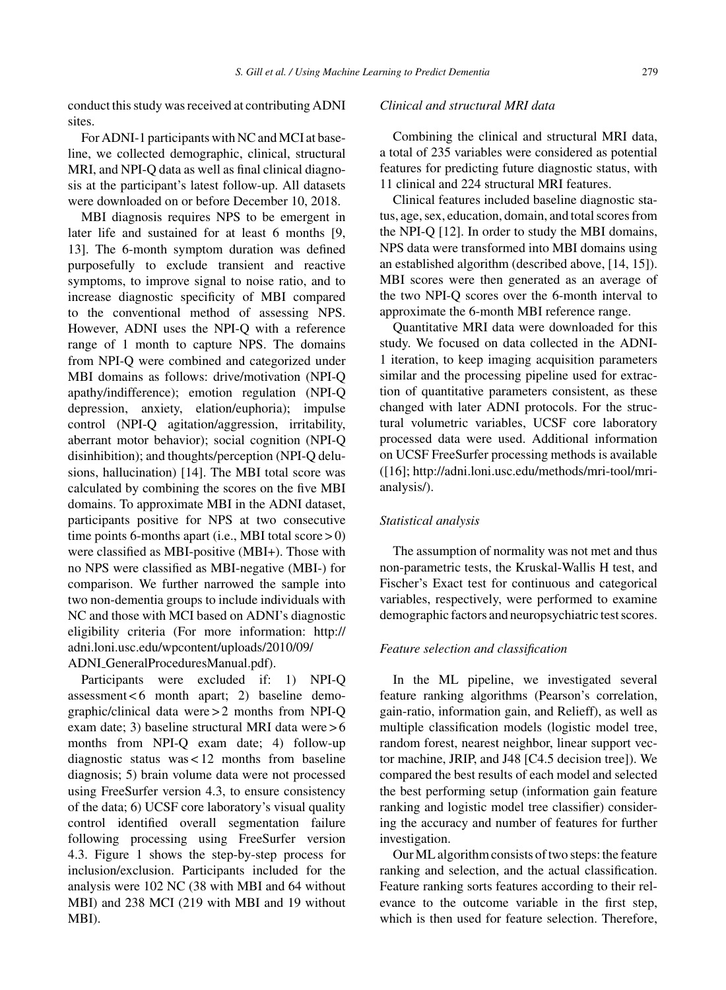conduct this study was received at contributing ADNI sites.

For ADNI-1 participants with NC and MCI at baseline, we collected demographic, clinical, structural MRI, and NPI-Q data as well as final clinical diagnosis at the participant's latest follow-up. All datasets were downloaded on or before December 10, 2018.

MBI diagnosis requires NPS to be emergent in later life and sustained for at least 6 months [9, 13]. The 6-month symptom duration was defined purposefully to exclude transient and reactive symptoms, to improve signal to noise ratio, and to increase diagnostic specificity of MBI compared to the conventional method of assessing NPS. However, ADNI uses the NPI-Q with a reference range of 1 month to capture NPS. The domains from NPI-Q were combined and categorized under MBI domains as follows: drive/motivation (NPI-Q apathy/indifference); emotion regulation (NPI-Q depression, anxiety, elation/euphoria); impulse control (NPI-Q agitation/aggression, irritability, aberrant motor behavior); social cognition (NPI-Q disinhibition); and thoughts/perception (NPI-Q delusions, hallucination) [14]. The MBI total score was calculated by combining the scores on the five MBI domains. To approximate MBI in the ADNI dataset, participants positive for NPS at two consecutive time points 6-months apart (i.e., MBI total score  $>$  0) were classified as MBI-positive (MBI+). Those with no NPS were classified as MBI-negative (MBI-) for comparison. We further narrowed the sample into two non-dementia groups to include individuals with NC and those with MCI based on ADNI's diagnostic eligibility criteria (For more information: [http://](http://adni.loni.usc.edu/wpcontent/uploads/2010/09/ADNI_GeneralProceduresManual.pdf) [adni.loni.usc.edu/wpcontent/uploads/2010/09/](http://adni.loni.usc.edu/wpcontent/uploads/2010/09/ADNI_GeneralProceduresManual.pdf) ADNI [GeneralProceduresManual.pdf](http://adni.loni.usc.edu/wpcontent/uploads/2010/09/ADNI_GeneralProceduresManual.pdf)).

Participants were excluded if: 1) NPI-Q  $assessment < 6$  month apart; 2) baseline demographic/clinical data were > 2 months from NPI-Q exam date; 3) baseline structural MRI data were > 6 months from NPI-Q exam date; 4) follow-up diagnostic status was < 12 months from baseline diagnosis; 5) brain volume data were not processed using FreeSurfer version 4.3, to ensure consistency of the data; 6) UCSF core laboratory's visual quality control identified overall segmentation failure following processing using FreeSurfer version 4.3. Figure 1 shows the step-by-step process for inclusion/exclusion. Participants included for the analysis were 102 NC (38 with MBI and 64 without MBI) and 238 MCI (219 with MBI and 19 without MBI).

#### *Clinical and structural MRI data*

Combining the clinical and structural MRI data, a total of 235 variables were considered as potential features for predicting future diagnostic status, with 11 clinical and 224 structural MRI features.

Clinical features included baseline diagnostic status, age, sex, education, domain, and total scores from the NPI-Q [12]. In order to study the MBI domains, NPS data were transformed into MBI domains using an established algorithm (described above, [14, 15]). MBI scores were then generated as an average of the two NPI-Q scores over the 6-month interval to approximate the 6-month MBI reference range.

Quantitative MRI data were downloaded for this study. We focused on data collected in the ADNI-1 iteration, to keep imaging acquisition parameters similar and the processing pipeline used for extraction of quantitative parameters consistent, as these changed with later ADNI protocols. For the structural volumetric variables, UCSF core laboratory processed data were used. Additional information on UCSF FreeSurfer processing methods is available ([16]; [http://adni.loni.usc.edu/methods/mri-tool/mri](http://adni.loni.usc.edu/methods/mri-tool/mri-analysis/)analysis/).

#### *Statistical analysis*

The assumption of normality was not met and thus non-parametric tests, the Kruskal-Wallis H test, and Fischer's Exact test for continuous and categorical variables, respectively, were performed to examine demographic factors and neuropsychiatric test scores.

#### *Feature selection and classification*

In the ML pipeline, we investigated several feature ranking algorithms (Pearson's correlation, gain-ratio, information gain, and Relieff), as well as multiple classification models (logistic model tree, random forest, nearest neighbor, linear support vector machine, JRIP, and J48 [C4.5 decision tree]). We compared the best results of each model and selected the best performing setup (information gain feature ranking and logistic model tree classifier) considering the accuracy and number of features for further investigation.

Our ML algorithm consists of two steps: the feature ranking and selection, and the actual classification. Feature ranking sorts features according to their relevance to the outcome variable in the first step, which is then used for feature selection. Therefore,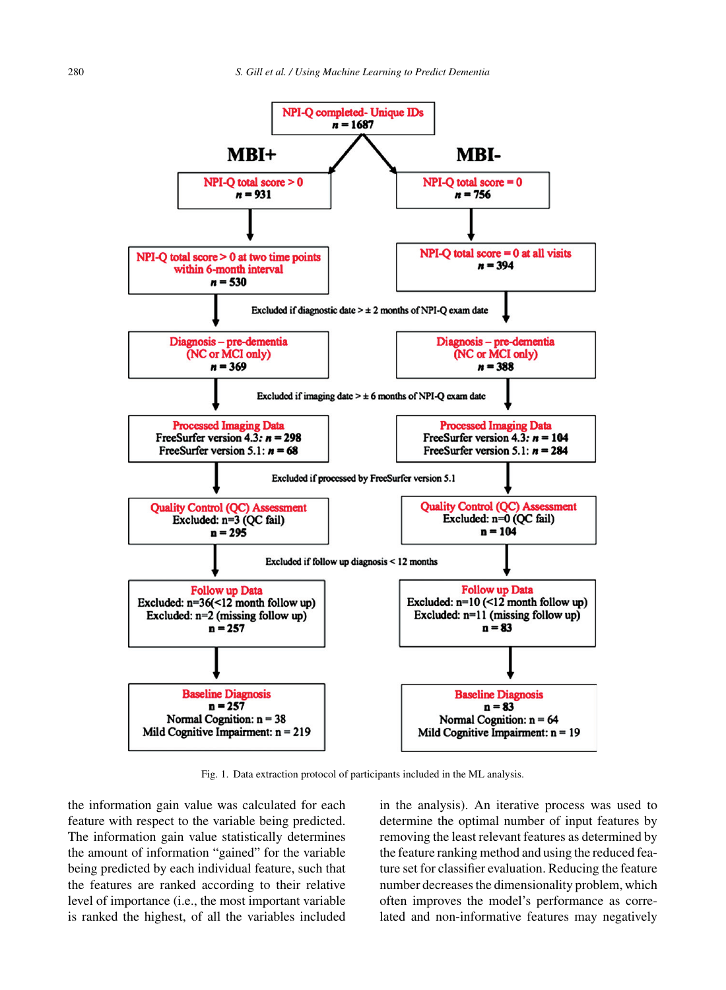

Fig. 1. Data extraction protocol of participants included in the ML analysis.

the information gain value was calculated for each feature with respect to the variable being predicted. The information gain value statistically determines the amount of information "gained" for the variable being predicted by each individual feature, such that the features are ranked according to their relative level of importance (i.e., the most important variable is ranked the highest, of all the variables included in the analysis). An iterative process was used to determine the optimal number of input features by removing the least relevant features as determined by the feature ranking method and using the reduced feature set for classifier evaluation. Reducing the feature number decreases the dimensionality problem, which often improves the model's performance as correlated and non-informative features may negatively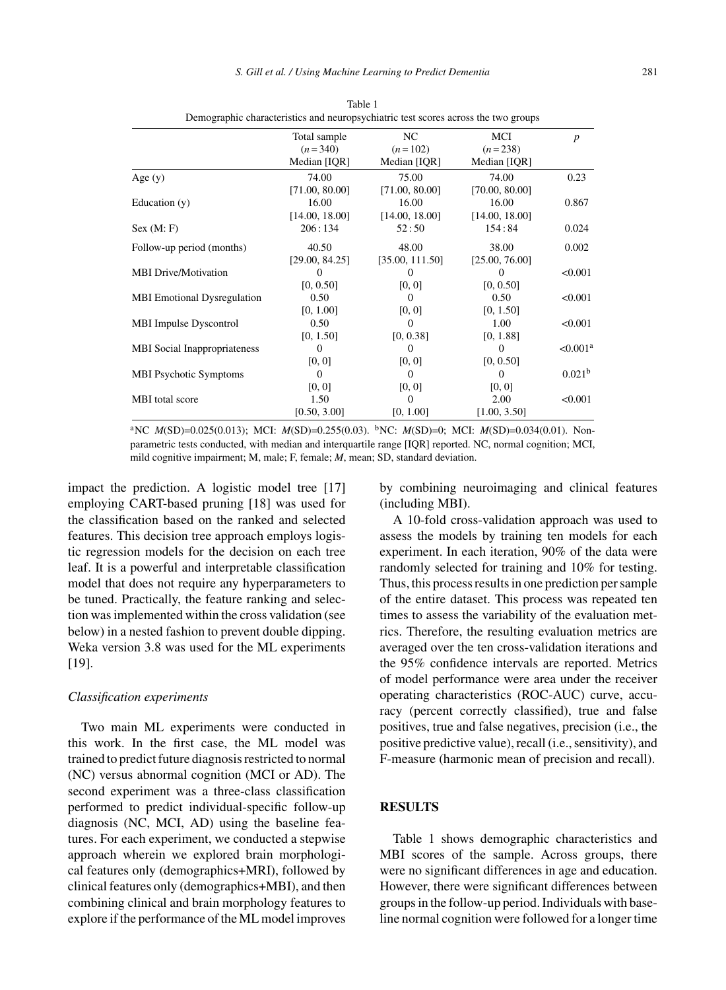|                                     | Total sample   | NC              | MCI            | $\boldsymbol{p}$     |
|-------------------------------------|----------------|-----------------|----------------|----------------------|
|                                     | $(n=340)$      | $(n=102)$       | $(n=238)$      |                      |
|                                     | Median [IQR]   | Median [IQR]    | Median [IQR]   |                      |
| Age $(y)$                           | 74.00          | 75.00           | 74.00          | 0.23                 |
|                                     | [71.00, 80.00] | [71.00, 80.00]  | [70.00, 80.00] |                      |
| Education (y)                       | 16.00          | 16.00           | 16.00          | 0.867                |
|                                     | [14.00, 18.00] | [14.00, 18.00]  | [14.00, 18.00] |                      |
| Sex (M: F)                          | 206:134        | 52:50           | 154:84         | 0.024                |
| Follow-up period (months)           | 40.50          | 48.00           | 38.00          | 0.002                |
|                                     | [29.00, 84.25] | [35.00, 111.50] | [25.00, 76.00] |                      |
| <b>MBI Drive/Motivation</b>         | $\Omega$       | $\Omega$        |                | < 0.001              |
|                                     | [0, 0.50]      | [0, 0]          | [0, 0.50]      |                      |
| <b>MBI</b> Emotional Dysregulation  | 0.50           | $\Omega$        | 0.50           | < 0.001              |
|                                     | [0, 1.00]      | [0, 0]          | [0, 1.50]      |                      |
| <b>MBI</b> Impulse Dyscontrol       | 0.50           | 0               | 1.00           | < 0.001              |
|                                     | [0, 1.50]      | [0, 0.38]       | [0, 1.88]      |                      |
| <b>MBI</b> Social Inappropriateness | $\Omega$       | $\mathbf{0}$    | 0              | < 0.001 <sup>a</sup> |
|                                     | [0, 0]         | [0, 0]          | [0, 0.50]      |                      |
| <b>MBI Psychotic Symptoms</b>       | $\Omega$       | $\Omega$        | 0              | 0.021 <sup>b</sup>   |
|                                     | [0, 0]         | [0, 0]          | [0, 0]         |                      |
| MBI total score                     | 1.50           | 0               | 2.00           | < 0.001              |
|                                     | [0.50, 3.00]   | [0, 1.00]       | [1.00, 3.50]   |                      |

Table 1 Demographic characteristics and neuropsychiatric test scores across the two groups

<sup>a</sup>NC *M*(SD)=0.025(0.013); MCI: *M*(SD)=0.255(0.03). <sup>b</sup>NC: *M*(SD)=0; MCI: *M*(SD)=0.034(0.01). Nonparametric tests conducted, with median and interquartile range [IQR] reported. NC, normal cognition; MCI, mild cognitive impairment; M, male; F, female; *M*, mean; SD, standard deviation.

impact the prediction. A logistic model tree [17] employing CART-based pruning [18] was used for the classification based on the ranked and selected features. This decision tree approach employs logistic regression models for the decision on each tree leaf. It is a powerful and interpretable classification model that does not require any hyperparameters to be tuned. Practically, the feature ranking and selection was implemented within the cross validation (see below) in a nested fashion to prevent double dipping. Weka version 3.8 was used for the ML experiments [19].

#### *Classification experiments*

Two main ML experiments were conducted in this work. In the first case, the ML model was trained to predict future diagnosis restricted to normal (NC) versus abnormal cognition (MCI or AD). The second experiment was a three-class classification performed to predict individual-specific follow-up diagnosis (NC, MCI, AD) using the baseline features. For each experiment, we conducted a stepwise approach wherein we explored brain morphological features only (demographics+MRI), followed by clinical features only (demographics+MBI), and then combining clinical and brain morphology features to explore if the performance of the ML model improves

by combining neuroimaging and clinical features (including MBI).

A 10-fold cross-validation approach was used to assess the models by training ten models for each experiment. In each iteration, 90% of the data were randomly selected for training and 10% for testing. Thus, this process results in one prediction per sample of the entire dataset. This process was repeated ten times to assess the variability of the evaluation metrics. Therefore, the resulting evaluation metrics are averaged over the ten cross-validation iterations and the 95% confidence intervals are reported. Metrics of model performance were area under the receiver operating characteristics (ROC-AUC) curve, accuracy (percent correctly classified), true and false positives, true and false negatives, precision (i.e., the positive predictive value), recall (i.e., sensitivity), and F-measure (harmonic mean of precision and recall).

#### **RESULTS**

Table 1 shows demographic characteristics and MBI scores of the sample. Across groups, there were no significant differences in age and education. However, there were significant differences between groups in the follow-up period. Individuals with baseline normal cognition were followed for a longer time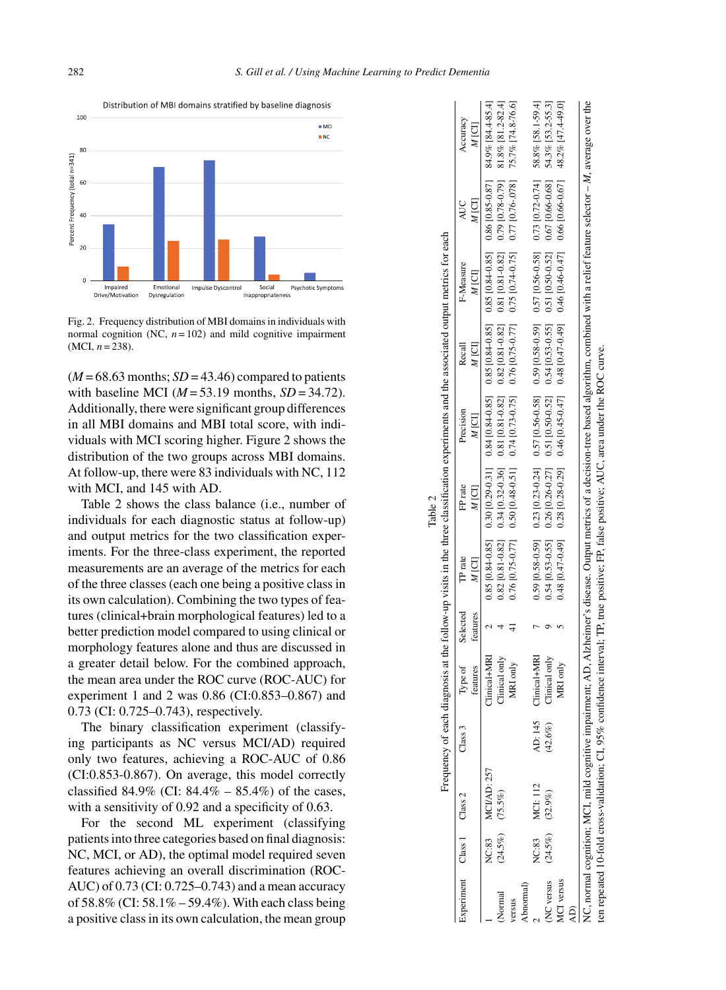

Fig. 2. Frequency distribution of MBI domains in individuals with normal cognition (NC,  $n = 102$ ) and mild cognitive impairment (MCI, *n* = 238).

 $(M = 68.63$  months;  $SD = 43.46$ ) compared to patients with baseline MCI ( $M = 53.19$  months,  $SD = 34.72$ ). Additionally, there were significant group differences in all MBI domains and MBI total score, with individuals with MCI scoring higher. Figure 2 shows the distribution of the two groups across MBI domains. At follow-up, there were 83 individuals with NC, 112 with MCI, and 145 with AD.

Table 2 shows the class balance (i.e., number of individuals for each diagnostic status at follow-up) and output metrics for the two classification experiments. For the three-class experiment, the reported measurements are an average of the metrics for each of the three classes (each one being a positive class in its own calculation). Combining the two types of features (clinical+brain morphological features) led to a better prediction model compared to using clinical or morphology features alone and thus are discussed in a greater detail below. For the combined approach, the mean area under the ROC curve (ROC-AUC) for experiment 1 and 2 was 0.86 (CI:0.853–0.867) and 0.73 (CI: 0.725–0.743), respectively.

The binary classification experiment (classifying participants as NC versus MCI/AD) required only two features, achieving a ROC-AUC of 0.86 (CI:0.853-0.867). On average, this model correctly classified 84.9% (CI:  $84.4\% - 85.4\%$ ) of the cases, with a sensitivity of 0.92 and a specificity of 0.63.

For the second ML experiment (classifying patients into three categories based on final diagnosis: NC, MCI, or AD), the optimal model required seven features achieving an overall discrimination (ROC-AUC) of 0.73 (CI: 0.725–0.743) and a mean accuracy of 58.8% (CI: 58.1% – 59.4%). With each class being a positive class in its own calculation, the mean group

|                            |                                            |                    |                                                 |                      |                  |                   |                                                                                                                                          | Frequency of each diagnosis at the follow-up visits in the three classification experiments and the associated output metrics for each                                                                                                                                     |                   |              |                                                                                                                                                                                                |
|----------------------------|--------------------------------------------|--------------------|-------------------------------------------------|----------------------|------------------|-------------------|------------------------------------------------------------------------------------------------------------------------------------------|----------------------------------------------------------------------------------------------------------------------------------------------------------------------------------------------------------------------------------------------------------------------------|-------------------|--------------|------------------------------------------------------------------------------------------------------------------------------------------------------------------------------------------------|
| Experiment Class 1 Class 2 |                                            | Class 3            | Type of<br>features                             | Selected<br>features | TP rate<br>M [C] | M ICII<br>FP rate | Precision<br>M ICI I                                                                                                                     | $\frac{M}{N}$<br>Recall                                                                                                                                                                                                                                                    | F-Measure<br>MICI | M ICI<br>AUC | Accuracy<br>M [C]                                                                                                                                                                              |
| Normal<br>ersus            | NC:83 MCI/AD: 257<br>$(24.5\%)$ $(75.5\%)$ |                    | Timical+MRI<br>Clinical only<br><b>ARI</b> only |                      |                  |                   |                                                                                                                                          | 0.85 [0.84-4.85] 0.80 [0.89-20.80 [0.85] 0.85 [0.840:8410.85] 0.85 [0.840:84 [0.840:84] 0.80 [0.8414 [0.85] 0.80 [0.85] 0.80 [0.89-435]<br>0.82 [0.81.0.82] 0.31-0.79 [0.72-0.36] 0.81 [0.81.0.82] 0.82 [0.831.0.82] 0.82] 0.82 [0.82] 0.82 [0.79 [0.79] 0.79 [0.79] 0.34] |                   |              | $0.76$   $0.77$ ] $0.50$   $0.48-0.51$   $0.74$   $0.759-0.75$   $0.759-0.77$ ] $0.75$   $0.74-0.75$   $0.76$   $0.76$   $0.78$   $74.8-76.6$ ]                                                |
| NC versus<br>Abnormal)     | NC:83 MCI: 112<br>$(24.5\%)$ $(32.9\%)$    | AD: 145<br>(42.6%) | Clinical+MRI<br>Clinical only                   |                      |                  |                   |                                                                                                                                          | $0.54$ [0.53-0.55] $0.26$ [0.26-0.27] $0.51$ [0.50-0.52] $0.54$ [0.53-0.55] $0.51$ [0.50-0.52] $0.57$ [0.66-0.68]                                                                                                                                                          |                   |              | 0.59 [0.58-0.59] 0.23 [0.23-0.24] 0.57 [0.56-0.58] 0.59 [0.58-0.59] 0.57 [0.56-0.58] 0.73 [0.72-0.74] 58.8% [58.1-59.4]<br>54.3% [53.2-55.3]                                                   |
| ACI versus                 |                                            |                    | MRI only                                        |                      |                  |                   |                                                                                                                                          |                                                                                                                                                                                                                                                                            |                   |              | [0] 6447.43 %8 [0] 846 [0] 8810] 660 [0] 6450 [47] 6450 [47] 6450 [47] 646 [47] 646 [47] 646 [0] 8810 [649] 65                                                                                 |
|                            |                                            |                    |                                                 |                      |                  |                   | en repeated 10-fold cross-validation; CI, 95% confidence interval; TP, true positive; FP, false positive; AUC, area under the ROC curve. |                                                                                                                                                                                                                                                                            |                   |              | C, normal cognition; MCI, mild cognitive impairment; AD, Alzheimer's disease. Output metrics of a decision-tree based algorithm, combined with a relief feature selector - M, average over the |

Table 2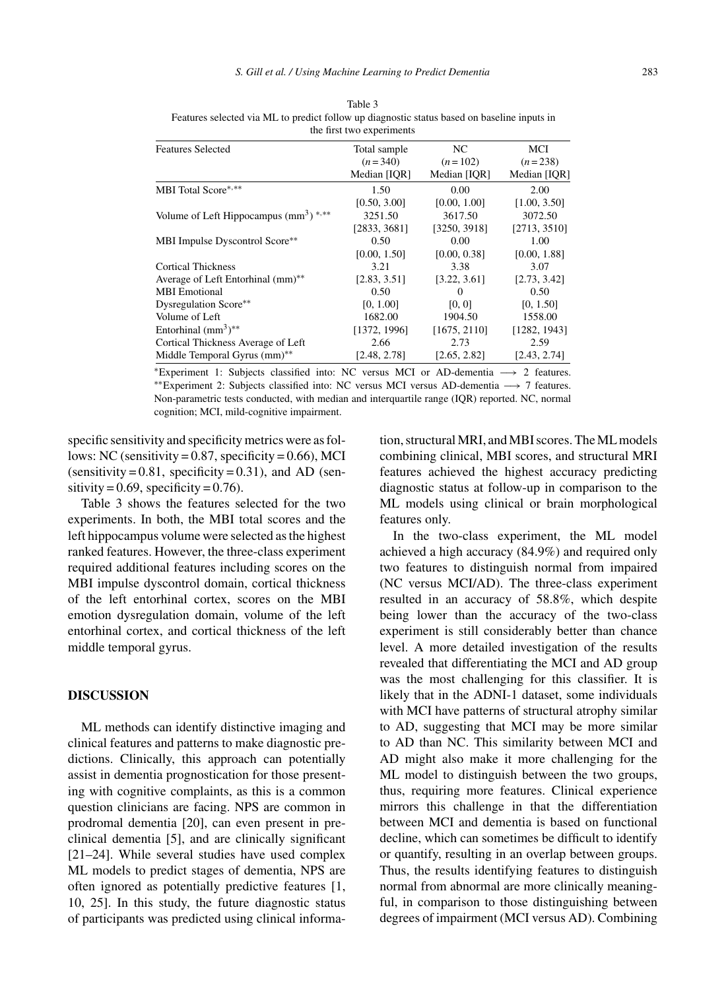|                                                    | the first two experiments |              |              |
|----------------------------------------------------|---------------------------|--------------|--------------|
| <b>Features Selected</b>                           | Total sample              | NC.          | MCI          |
|                                                    | $(n=340)$                 | $(n=102)$    | $(n=238)$    |
|                                                    | Median [IOR]              | Median [IQR] | Median [IQR] |
| MBI Total Score*,**                                | 1.50                      | 0.00         | 2.00         |
|                                                    | [0.50, 3.00]              | [0.00, 1.00] | [1.00, 3.50] |
| Volume of Left Hippocampus $(mm^3)$ <sup>***</sup> | 3251.50                   | 3617.50      | 3072.50      |
|                                                    | [2833, 3681]              | [3250, 3918] | [2713, 3510] |
| MBI Impulse Dyscontrol Score**                     | 0.50                      | 0.00         | 1.00         |
|                                                    | [0.00, 1.50]              | [0.00, 0.38] | [0.00, 1.88] |
| <b>Cortical Thickness</b>                          | 3.21                      | 3.38         | 3.07         |
| Average of Left Entorhinal (mm)**                  | [2.83, 3.51]              | [3.22, 3.61] | [2.73, 3.42] |
| <b>MBI</b> Emotional                               | 0.50                      | $\Omega$     | 0.50         |
| Dysregulation Score**                              | [0, 1.00]                 | [0, 0]       | [0, 1.50]    |
| Volume of Left                                     | 1682.00                   | 1904.50      | 1558.00      |
| Entorhinal $(mm3)**$                               | [1372, 1996]              | [1675, 2110] | [1282, 1943] |
| Cortical Thickness Average of Left                 | 2.66                      | 2.73         | 2.59         |
| Middle Temporal Gyrus (mm)**                       | [2.48, 2.78]              | [2.65, 2.82] | [2.43, 2.74] |

Table 3 Features selected via ML to predict follow up diagnostic status based on baseline inputs in

<sup>∗</sup>Experiment 1: Subjects classified into: NC versus MCI or AD-dementia −→ 2 features. ∗∗Experiment 2: Subjects classified into: NC versus MCI versus AD-dementia −→ 7 features. Non-parametric tests conducted, with median and interquartile range (IQR) reported. NC, normal cognition; MCI, mild-cognitive impairment.

specific sensitivity and specificity metrics were as follows: NC (sensitivity =  $0.87$ , specificity =  $0.66$ ), MCI (sensitivity =  $0.81$ , specificity =  $0.31$ ), and AD (sensitivity =  $0.69$ , specificity =  $0.76$ ).

Table 3 shows the features selected for the two experiments. In both, the MBI total scores and the left hippocampus volume were selected as the highest ranked features. However, the three-class experiment required additional features including scores on the MBI impulse dyscontrol domain, cortical thickness of the left entorhinal cortex, scores on the MBI emotion dysregulation domain, volume of the left entorhinal cortex, and cortical thickness of the left middle temporal gyrus.

#### **DISCUSSION**

ML methods can identify distinctive imaging and clinical features and patterns to make diagnostic predictions. Clinically, this approach can potentially assist in dementia prognostication for those presenting with cognitive complaints, as this is a common question clinicians are facing. NPS are common in prodromal dementia [20], can even present in preclinical dementia [5], and are clinically significant [21–24]. While several studies have used complex ML models to predict stages of dementia, NPS are often ignored as potentially predictive features [1, 10, 25]. In this study, the future diagnostic status of participants was predicted using clinical information, structural MRI, and MBI scores. The ML models combining clinical, MBI scores, and structural MRI features achieved the highest accuracy predicting diagnostic status at follow-up in comparison to the ML models using clinical or brain morphological features only.

In the two-class experiment, the ML model achieved a high accuracy (84.9%) and required only two features to distinguish normal from impaired (NC versus MCI/AD). The three-class experiment resulted in an accuracy of 58.8%, which despite being lower than the accuracy of the two-class experiment is still considerably better than chance level. A more detailed investigation of the results revealed that differentiating the MCI and AD group was the most challenging for this classifier. It is likely that in the ADNI-1 dataset, some individuals with MCI have patterns of structural atrophy similar to AD, suggesting that MCI may be more similar to AD than NC. This similarity between MCI and AD might also make it more challenging for the ML model to distinguish between the two groups, thus, requiring more features. Clinical experience mirrors this challenge in that the differentiation between MCI and dementia is based on functional decline, which can sometimes be difficult to identify or quantify, resulting in an overlap between groups. Thus, the results identifying features to distinguish normal from abnormal are more clinically meaningful, in comparison to those distinguishing between degrees of impairment (MCI versus AD). Combining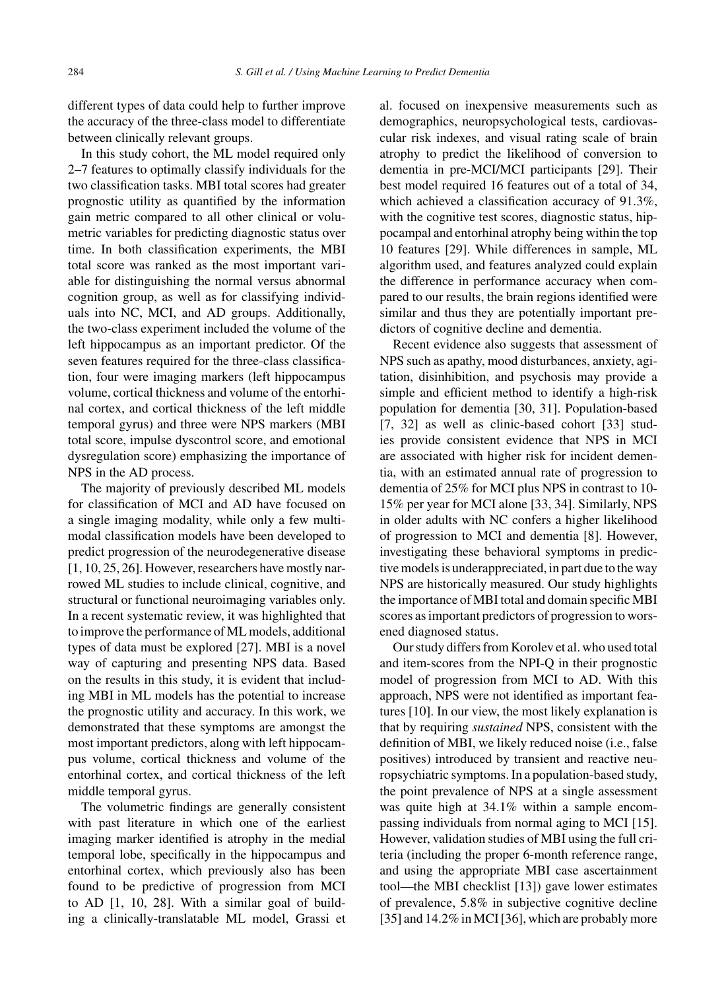different types of data could help to further improve the accuracy of the three-class model to differentiate between clinically relevant groups.

In this study cohort, the ML model required only 2–7 features to optimally classify individuals for the two classification tasks. MBI total scores had greater prognostic utility as quantified by the information gain metric compared to all other clinical or volumetric variables for predicting diagnostic status over time. In both classification experiments, the MBI total score was ranked as the most important variable for distinguishing the normal versus abnormal cognition group, as well as for classifying individuals into NC, MCI, and AD groups. Additionally, the two-class experiment included the volume of the left hippocampus as an important predictor. Of the seven features required for the three-class classification, four were imaging markers (left hippocampus volume, cortical thickness and volume of the entorhinal cortex, and cortical thickness of the left middle temporal gyrus) and three were NPS markers (MBI total score, impulse dyscontrol score, and emotional dysregulation score) emphasizing the importance of NPS in the AD process.

The majority of previously described ML models for classification of MCI and AD have focused on a single imaging modality, while only a few multimodal classification models have been developed to predict progression of the neurodegenerative disease [1, 10, 25, 26]. However, researchers have mostly narrowed ML studies to include clinical, cognitive, and structural or functional neuroimaging variables only. In a recent systematic review, it was highlighted that to improve the performance of ML models, additional types of data must be explored [27]. MBI is a novel way of capturing and presenting NPS data. Based on the results in this study, it is evident that including MBI in ML models has the potential to increase the prognostic utility and accuracy. In this work, we demonstrated that these symptoms are amongst the most important predictors, along with left hippocampus volume, cortical thickness and volume of the entorhinal cortex, and cortical thickness of the left middle temporal gyrus.

The volumetric findings are generally consistent with past literature in which one of the earliest imaging marker identified is atrophy in the medial temporal lobe, specifically in the hippocampus and entorhinal cortex, which previously also has been found to be predictive of progression from MCI to AD [1, 10, 28]. With a similar goal of building a clinically-translatable ML model, Grassi et

al. focused on inexpensive measurements such as demographics, neuropsychological tests, cardiovascular risk indexes, and visual rating scale of brain atrophy to predict the likelihood of conversion to dementia in pre-MCI/MCI participants [29]. Their best model required 16 features out of a total of 34, which achieved a classification accuracy of 91.3%, with the cognitive test scores, diagnostic status, hippocampal and entorhinal atrophy being within the top 10 features [29]. While differences in sample, ML algorithm used, and features analyzed could explain the difference in performance accuracy when compared to our results, the brain regions identified were similar and thus they are potentially important predictors of cognitive decline and dementia.

Recent evidence also suggests that assessment of NPS such as apathy, mood disturbances, anxiety, agitation, disinhibition, and psychosis may provide a simple and efficient method to identify a high-risk population for dementia [30, 31]. Population-based [7, 32] as well as clinic-based cohort [33] studies provide consistent evidence that NPS in MCI are associated with higher risk for incident dementia, with an estimated annual rate of progression to dementia of 25% for MCI plus NPS in contrast to 10- 15% per year for MCI alone [33, 34]. Similarly, NPS in older adults with NC confers a higher likelihood of progression to MCI and dementia [8]. However, investigating these behavioral symptoms in predictive models is underappreciated, in part due to the way NPS are historically measured. Our study highlights the importance of MBI total and domain specific MBI scores as important predictors of progression to worsened diagnosed status.

Our study differs from Korolev et al. who used total and item-scores from the NPI-Q in their prognostic model of progression from MCI to AD. With this approach, NPS were not identified as important features [10]. In our view, the most likely explanation is that by requiring *sustained* NPS, consistent with the definition of MBI, we likely reduced noise (i.e., false positives) introduced by transient and reactive neuropsychiatric symptoms. In a population-based study, the point prevalence of NPS at a single assessment was quite high at 34.1% within a sample encompassing individuals from normal aging to MCI [15]. However, validation studies of MBI using the full criteria (including the proper 6-month reference range, and using the appropriate MBI case ascertainment tool—the MBI checklist [13]) gave lower estimates of prevalence, 5.8% in subjective cognitive decline [35] and 14.2% in MCI [36], which are probably more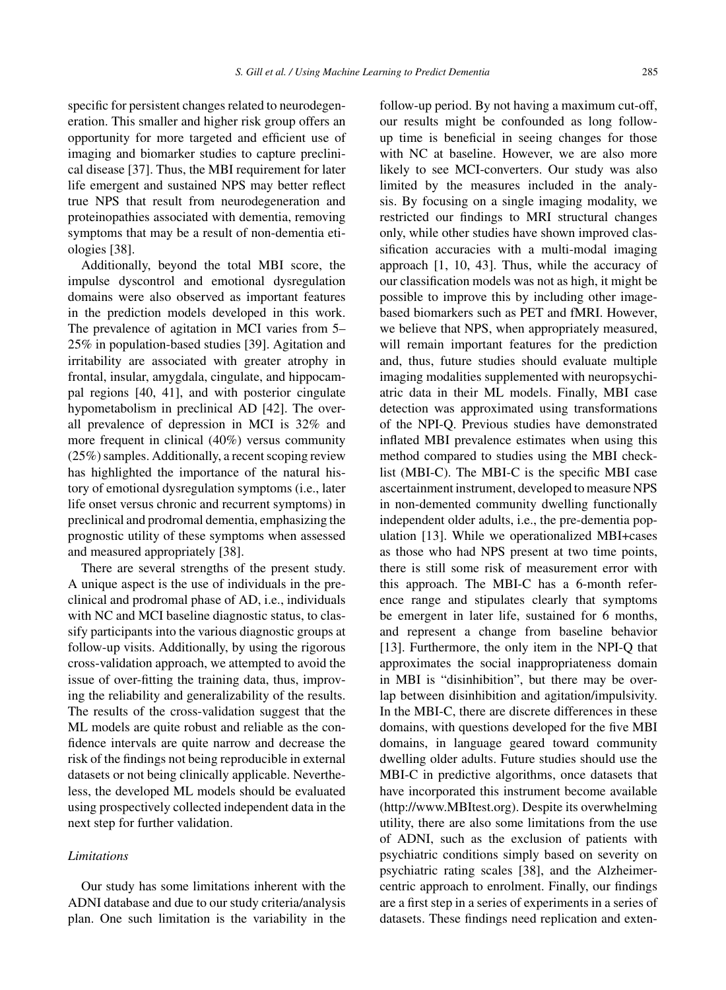specific for persistent changes related to neurodegeneration. This smaller and higher risk group offers an opportunity for more targeted and efficient use of imaging and biomarker studies to capture preclinical disease [37]. Thus, the MBI requirement for later life emergent and sustained NPS may better reflect true NPS that result from neurodegeneration and proteinopathies associated with dementia, removing symptoms that may be a result of non-dementia eti-

ologies [38]. Additionally, beyond the total MBI score, the impulse dyscontrol and emotional dysregulation domains were also observed as important features in the prediction models developed in this work. The prevalence of agitation in MCI varies from 5– 25% in population-based studies [39]. Agitation and irritability are associated with greater atrophy in frontal, insular, amygdala, cingulate, and hippocampal regions [40, 41], and with posterior cingulate hypometabolism in preclinical AD [42]. The overall prevalence of depression in MCI is 32% and more frequent in clinical (40%) versus community (25%) samples. Additionally, a recent scoping review has highlighted the importance of the natural history of emotional dysregulation symptoms (i.e., later life onset versus chronic and recurrent symptoms) in preclinical and prodromal dementia, emphasizing the prognostic utility of these symptoms when assessed and measured appropriately [38].

There are several strengths of the present study. A unique aspect is the use of individuals in the preclinical and prodromal phase of AD, i.e., individuals with NC and MCI baseline diagnostic status, to classify participants into the various diagnostic groups at follow-up visits. Additionally, by using the rigorous cross-validation approach, we attempted to avoid the issue of over-fitting the training data, thus, improving the reliability and generalizability of the results. The results of the cross-validation suggest that the ML models are quite robust and reliable as the confidence intervals are quite narrow and decrease the risk of the findings not being reproducible in external datasets or not being clinically applicable. Nevertheless, the developed ML models should be evaluated using prospectively collected independent data in the next step for further validation.

#### *Limitations*

Our study has some limitations inherent with the ADNI database and due to our study criteria/analysis plan. One such limitation is the variability in the follow-up period. By not having a maximum cut-off, our results might be confounded as long followup time is beneficial in seeing changes for those with NC at baseline. However, we are also more likely to see MCI-converters. Our study was also limited by the measures included in the analysis. By focusing on a single imaging modality, we restricted our findings to MRI structural changes only, while other studies have shown improved classification accuracies with a multi-modal imaging approach [1, 10, 43]. Thus, while the accuracy of our classification models was not as high, it might be possible to improve this by including other imagebased biomarkers such as PET and fMRI. However, we believe that NPS, when appropriately measured, will remain important features for the prediction and, thus, future studies should evaluate multiple imaging modalities supplemented with neuropsychiatric data in their ML models. Finally, MBI case detection was approximated using transformations of the NPI-Q. Previous studies have demonstrated inflated MBI prevalence estimates when using this method compared to studies using the MBI checklist (MBI-C). The MBI-C is the specific MBI case ascertainment instrument, developed to measure NPS in non-demented community dwelling functionally independent older adults, i.e., the pre-dementia population [13]. While we operationalized MBI+cases as those who had NPS present at two time points, there is still some risk of measurement error with this approach. The MBI-C has a 6-month reference range and stipulates clearly that symptoms be emergent in later life, sustained for 6 months, and represent a change from baseline behavior [13]. Furthermore, the only item in the NPI-Q that approximates the social inappropriateness domain in MBI is "disinhibition", but there may be overlap between disinhibition and agitation/impulsivity. In the MBI-C, there are discrete differences in these domains, with questions developed for the five MBI domains, in language geared toward community dwelling older adults. Future studies should use the MBI-C in predictive algorithms, once datasets that have incorporated this instrument become available [\(http://www.MBItest.org\)](http://www.MBItest.org). Despite its overwhelming utility, there are also some limitations from the use of ADNI, such as the exclusion of patients with psychiatric conditions simply based on severity on psychiatric rating scales [38], and the Alzheimercentric approach to enrolment. Finally, our findings are a first step in a series of experiments in a series of datasets. These findings need replication and exten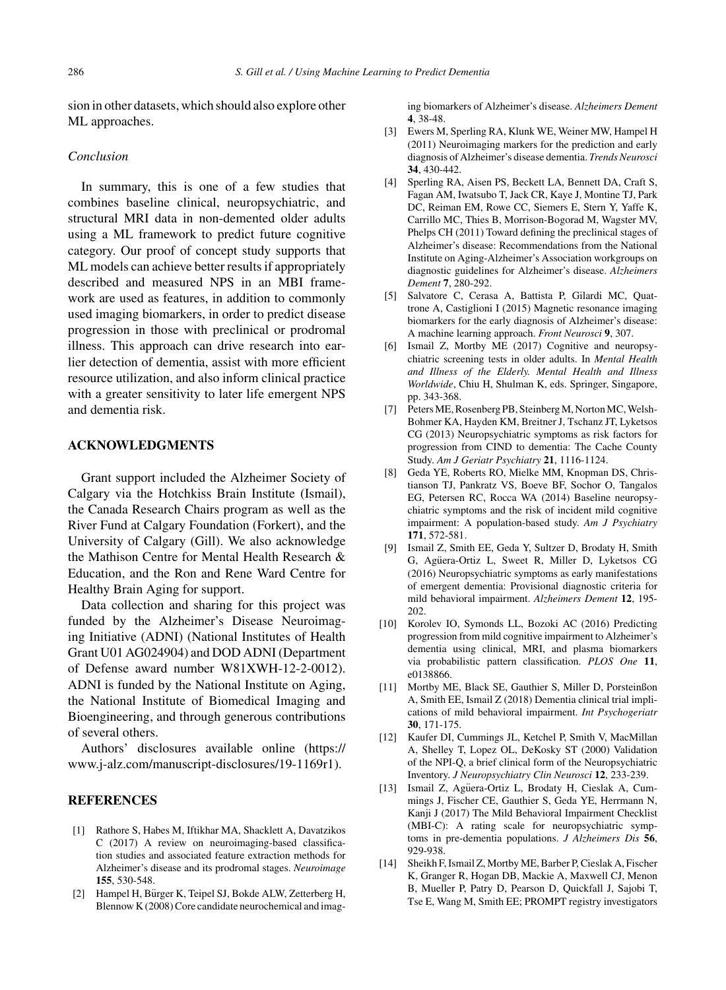sion in other datasets, which should also explore other ML approaches.

#### *Conclusion*

In summary, this is one of a few studies that combines baseline clinical, neuropsychiatric, and structural MRI data in non-demented older adults using a ML framework to predict future cognitive category. Our proof of concept study supports that ML models can achieve better results if appropriately described and measured NPS in an MBI framework are used as features, in addition to commonly used imaging biomarkers, in order to predict disease progression in those with preclinical or prodromal illness. This approach can drive research into earlier detection of dementia, assist with more efficient resource utilization, and also inform clinical practice with a greater sensitivity to later life emergent NPS and dementia risk.

## **ACKNOWLEDGMENTS**

Grant support included the Alzheimer Society of Calgary via the Hotchkiss Brain Institute (Ismail), the Canada Research Chairs program as well as the River Fund at Calgary Foundation (Forkert), and the University of Calgary (Gill). We also acknowledge the Mathison Centre for Mental Health Research & Education, and the Ron and Rene Ward Centre for Healthy Brain Aging for support.

Data collection and sharing for this project was funded by the Alzheimer's Disease Neuroimaging Initiative (ADNI) (National Institutes of Health Grant U01 AG024904) and DOD ADNI (Department of Defense award number W81XWH-12-2-0012). ADNI is funded by the National Institute on Aging, the National Institute of Biomedical Imaging and Bioengineering, and through generous contributions of several others.

Authors' disclosures available online ([https://](https://www.j-alz.com/manuscript-disclosures/19-1169r1) [www.j-alz.com/manuscript-disclosures/19-1169r1\)](https://www.j-alz.com/manuscript-disclosures/19-1169r1).

#### **REFERENCES**

- [1] Rathore S, Habes M, Iftikhar MA, Shacklett A, Davatzikos C (2017) A review on neuroimaging-based classification studies and associated feature extraction methods for Alzheimer's disease and its prodromal stages. *Neuroimage* **155**, 530-548.
- [2] Hampel H, Bürger K, Teipel SJ, Bokde ALW, Zetterberg H, Blennow K (2008) Core candidate neurochemical and imag-

ing biomarkers of Alzheimer's disease. *Alzheimers Dement* **4**, 38-48.

- [3] Ewers M, Sperling RA, Klunk WE, Weiner MW, Hampel H (2011) Neuroimaging markers for the prediction and early diagnosis of Alzheimer's disease dementia. *Trends Neurosci* **34**, 430-442.
- [4] Sperling RA, Aisen PS, Beckett LA, Bennett DA, Craft S, Fagan AM, Iwatsubo T, Jack CR, Kaye J, Montine TJ, Park DC, Reiman EM, Rowe CC, Siemers E, Stern Y, Yaffe K, Carrillo MC, Thies B, Morrison-Bogorad M, Wagster MV, Phelps CH (2011) Toward defining the preclinical stages of Alzheimer's disease: Recommendations from the National Institute on Aging-Alzheimer's Association workgroups on diagnostic guidelines for Alzheimer's disease. *Alzheimers Dement* **7**, 280-292.
- [5] Salvatore C, Cerasa A, Battista P, Gilardi MC, Quattrone A, Castiglioni I (2015) Magnetic resonance imaging biomarkers for the early diagnosis of Alzheimer's disease: A machine learning approach. *Front Neurosci* **9**, 307.
- [6] Ismail Z, Mortby ME (2017) Cognitive and neuropsychiatric screening tests in older adults. In *Mental Health and Illness of the Elderly. Mental Health and Illness Worldwide*, Chiu H, Shulman K, eds. Springer, Singapore, pp. 343-368.
- [7] Peters ME, Rosenberg PB, Steinberg M, Norton MC, Welsh-Bohmer KA, Hayden KM, Breitner J, Tschanz JT, Lyketsos CG (2013) Neuropsychiatric symptoms as risk factors for progression from CIND to dementia: The Cache County Study. *Am J Geriatr Psychiatry* **21**, 1116-1124.
- [8] Geda YE, Roberts RO, Mielke MM, Knopman DS, Christianson TJ, Pankratz VS, Boeve BF, Sochor O, Tangalos EG, Petersen RC, Rocca WA (2014) Baseline neuropsychiatric symptoms and the risk of incident mild cognitive impairment: A population-based study. *Am J Psychiatry* **171**, 572-581.
- [9] Ismail Z, Smith EE, Geda Y, Sultzer D, Brodaty H, Smith G, Agüera-Ortiz L, Sweet R, Miller D, Lyketsos CG (2016) Neuropsychiatric symptoms as early manifestations of emergent dementia: Provisional diagnostic criteria for mild behavioral impairment. *Alzheimers Dement* **12**, 195- 202.
- [10] Korolev IO, Symonds LL, Bozoki AC (2016) Predicting progression from mild cognitive impairment to Alzheimer's dementia using clinical, MRI, and plasma biomarkers via probabilistic pattern classification. *PLOS One* **11**, e0138866.
- [11] Mortby ME, Black SE, Gauthier S, Miller D, Porsteinßon A, Smith EE, Ismail Z (2018) Dementia clinical trial implications of mild behavioral impairment. *Int Psychogeriatr* **30**, 171-175.
- [12] Kaufer DI, Cummings JL, Ketchel P, Smith V, MacMillan A, Shelley T, Lopez OL, DeKosky ST (2000) Validation of the NPI-Q, a brief clinical form of the Neuropsychiatric Inventory. *J Neuropsychiatry Clin Neurosci* **12**, 233-239.
- [13] Ismail Z, Agüera-Ortiz L, Brodaty H, Cieslak A, Cummings J, Fischer CE, Gauthier S, Geda YE, Herrmann N, Kanji J (2017) The Mild Behavioral Impairment Checklist (MBI-C): A rating scale for neuropsychiatric symptoms in pre-dementia populations. *J Alzheimers Dis* **56**, 929-938.
- [14] Sheikh F, Ismail Z, Mortby ME, Barber P, Cieslak A, Fischer K, Granger R, Hogan DB, Mackie A, Maxwell CJ, Menon B, Mueller P, Patry D, Pearson D, Quickfall J, Sajobi T, Tse E, Wang M, Smith EE; PROMPT registry investigators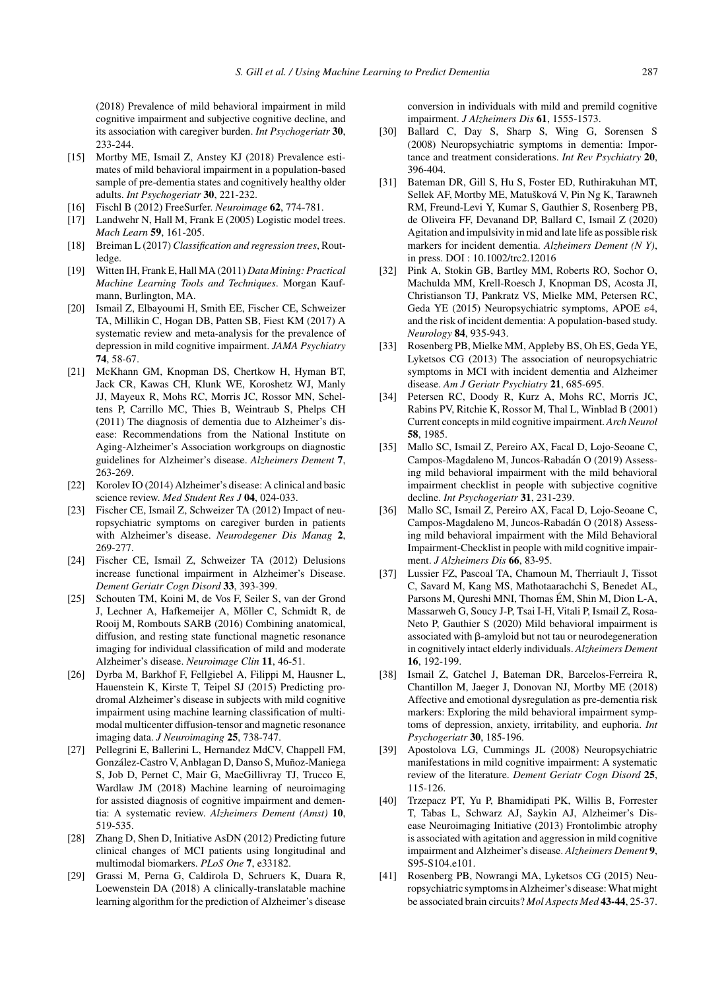(2018) Prevalence of mild behavioral impairment in mild cognitive impairment and subjective cognitive decline, and its association with caregiver burden. *Int Psychogeriatr* **30**, 233-244.

- [15] Mortby ME, Ismail Z, Anstey KJ (2018) Prevalence estimates of mild behavioral impairment in a population-based sample of pre-dementia states and cognitively healthy older adults. *Int Psychogeriatr* **30**, 221-232.
- [16] Fischl B (2012) FreeSurfer. *Neuroimage* **62**, 774-781.
- [17] Landwehr N, Hall M, Frank E (2005) Logistic model trees. *Mach Learn* **59**, 161-205.
- [18] Breiman L (2017) *Classification and regression trees*, Routledge.
- [19] Witten IH, Frank E, Hall MA (2011) *Data Mining: Practical Machine Learning Tools and Techniques*. Morgan Kaufmann, Burlington, MA.
- [20] Ismail Z, Elbayoumi H, Smith EE, Fischer CE, Schweizer TA, Millikin C, Hogan DB, Patten SB, Fiest KM (2017) A systematic review and meta-analysis for the prevalence of depression in mild cognitive impairment. *JAMA Psychiatry* **74**, 58-67.
- [21] McKhann GM, Knopman DS, Chertkow H, Hyman BT, Jack CR, Kawas CH, Klunk WE, Koroshetz WJ, Manly JJ, Mayeux R, Mohs RC, Morris JC, Rossor MN, Scheltens P, Carrillo MC, Thies B, Weintraub S, Phelps CH (2011) The diagnosis of dementia due to Alzheimer's disease: Recommendations from the National Institute on Aging-Alzheimer's Association workgroups on diagnostic guidelines for Alzheimer's disease. *Alzheimers Dement* **7**, 263-269.
- [22] Korolev IO (2014) Alzheimer's disease: A clinical and basic science review. *Med Student Res J* **04**, 024-033.
- [23] Fischer CE, Ismail Z, Schweizer TA (2012) Impact of neuropsychiatric symptoms on caregiver burden in patients with Alzheimer's disease. *Neurodegener Dis Manag* **2**, 269-277.
- [24] Fischer CE, Ismail Z, Schweizer TA (2012) Delusions increase functional impairment in Alzheimer's Disease. *Dement Geriatr Cogn Disord* **33**, 393-399.
- [25] Schouten TM, Koini M, de Vos F, Seiler S, van der Grond J, Lechner A, Hafkemeijer A, Möller C, Schmidt R, de Rooij M, Rombouts SARB (2016) Combining anatomical, diffusion, and resting state functional magnetic resonance imaging for individual classification of mild and moderate Alzheimer's disease. *Neuroimage Clin* **11**, 46-51.
- [26] Dyrba M, Barkhof F, Fellgiebel A, Filippi M, Hausner L, Hauenstein K, Kirste T, Teipel SJ (2015) Predicting prodromal Alzheimer's disease in subjects with mild cognitive impairment using machine learning classification of multimodal multicenter diffusion-tensor and magnetic resonance imaging data. *J Neuroimaging* **25**, 738-747.
- [27] Pellegrini E, Ballerini L, Hernandez MdCV, Chappell FM, González-Castro V, Anblagan D, Danso S, Muñoz-Maniega S, Job D, Pernet C, Mair G, MacGillivray TJ, Trucco E, Wardlaw JM (2018) Machine learning of neuroimaging for assisted diagnosis of cognitive impairment and dementia: A systematic review. *Alzheimers Dement (Amst)* **10**, 519-535.
- [28] Zhang D, Shen D, Initiative AsDN (2012) Predicting future clinical changes of MCI patients using longitudinal and multimodal biomarkers. *PLoS One* **7**, e33182.
- [29] Grassi M, Perna G, Caldirola D, Schruers K, Duara R, Loewenstein DA (2018) A clinically-translatable machine learning algorithm for the prediction of Alzheimer's disease

conversion in individuals with mild and premild cognitive impairment. *J Alzheimers Dis* **61**, 1555-1573.

- [30] Ballard C, Day S, Sharp S, Wing G, Sorensen S (2008) Neuropsychiatric symptoms in dementia: Importance and treatment considerations. *Int Rev Psychiatry* **20**, 396-404.
- [31] Bateman DR, Gill S, Hu S, Foster ED, Ruthirakuhan MT, Sellek AF, Mortby ME, Matušková V, Pin Ng K, Tarawneh RM, Freund-Levi Y, Kumar S, Gauthier S, Rosenberg PB, de Oliveira FF, Devanand DP, Ballard C, Ismail Z (2020) Agitation and impulsivity in mid and late life as possible risk markers for incident dementia. *Alzheimers Dement (N Y)*, in press. DOI : 10.1002/trc2.12016
- [32] Pink A, Stokin GB, Bartley MM, Roberts RO, Sochor O, Machulda MM, Krell-Roesch J, Knopman DS, Acosta JI, Christianson TJ, Pankratz VS, Mielke MM, Petersen RC, Geda YE (2015) Neuropsychiatric symptoms, APOE  $\varepsilon$ 4, and the risk of incident dementia: A population-based study. *Neurology* **84**, 935-943.
- [33] Rosenberg PB, Mielke MM, Appleby BS, Oh ES, Geda YE, Lyketsos CG (2013) The association of neuropsychiatric symptoms in MCI with incident dementia and Alzheimer disease. *Am J Geriatr Psychiatry* **21**, 685-695.
- [34] Petersen RC, Doody R, Kurz A, Mohs RC, Morris JC, Rabins PV, Ritchie K, Rossor M, Thal L, Winblad B (2001) Current concepts in mild cognitive impairment. *Arch Neurol* **58**, 1985.
- [35] Mallo SC, Ismail Z, Pereiro AX, Facal D, Lojo-Seoane C, Campos-Magdaleno M, Juncos-Rabadan O (2019) Assess- ´ ing mild behavioral impairment with the mild behavioral impairment checklist in people with subjective cognitive decline. *Int Psychogeriatr* **31**, 231-239.
- [36] Mallo SC, Ismail Z, Pereiro AX, Facal D, Lojo-Seoane C, Campos-Magdaleno M, Juncos-Rabadan O (2018) Assess- ´ ing mild behavioral impairment with the Mild Behavioral Impairment-Checklist in people with mild cognitive impairment. *J Alzheimers Dis* **66**, 83-95.
- [37] Lussier FZ, Pascoal TA, Chamoun M, Therriault J, Tissot C, Savard M, Kang MS, Mathotaarachchi S, Benedet AL, Parsons M, Qureshi MNI, Thomas ÉM, Shin M, Dion L-A, Massarweh G, Soucy J-P, Tsai I-H, Vitali P, Ismail Z, Rosa-Neto P, Gauthier S (2020) Mild behavioral impairment is associated with  $\beta$ -amyloid but not tau or neurodegeneration in cognitively intact elderly individuals. *Alzheimers Dement* **16**, 192-199.
- [38] Ismail Z, Gatchel J, Bateman DR, Barcelos-Ferreira R, Chantillon M, Jaeger J, Donovan NJ, Mortby ME (2018) Affective and emotional dysregulation as pre-dementia risk markers: Exploring the mild behavioral impairment symptoms of depression, anxiety, irritability, and euphoria. *Int Psychogeriatr* **30**, 185-196.
- [39] Apostolova LG, Cummings JL (2008) Neuropsychiatric manifestations in mild cognitive impairment: A systematic review of the literature. *Dement Geriatr Cogn Disord* **25**, 115-126.
- [40] Trzepacz PT, Yu P, Bhamidipati PK, Willis B, Forrester T, Tabas L, Schwarz AJ, Saykin AJ, Alzheimer's Disease Neuroimaging Initiative (2013) Frontolimbic atrophy is associated with agitation and aggression in mild cognitive impairment and Alzheimer's disease. *Alzheimers Dement* **9**, S95-S104.e101.
- [41] Rosenberg PB, Nowrangi MA, Lyketsos CG (2015) Neuropsychiatric symptoms in Alzheimer's disease: What might be associated brain circuits? *Mol Aspects Med* **43-44**, 25-37.